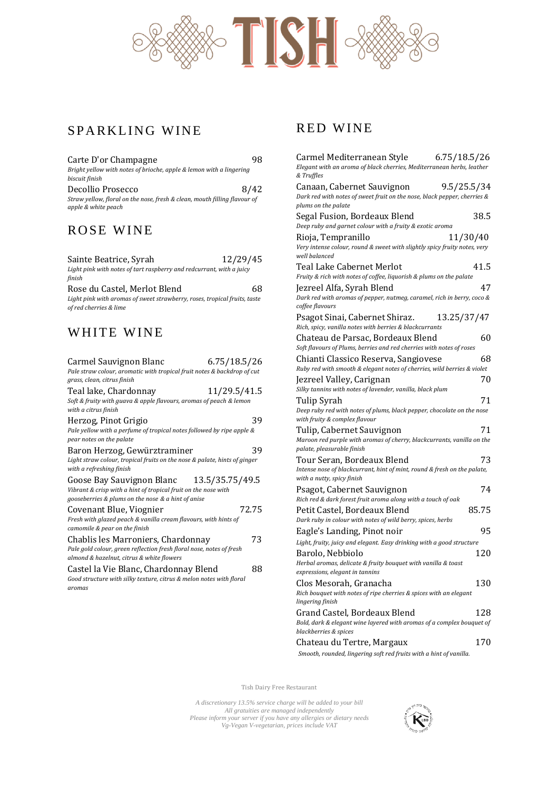

## SPARKLING WINE

| Carte D'or Champagne                                                                             | 98   |
|--------------------------------------------------------------------------------------------------|------|
| Bright yellow with notes of brioche, apple & lemon with a lingering<br>biscuit finish            |      |
| Decollio Prosecco                                                                                | 8/42 |
| Straw yellow, floral on the nose, fresh & clean, mouth filling flavour of<br>apple & white peach |      |

### ROSE WINE

| Sainte Beatrice, Syrah                                                   | 12/29/45 |
|--------------------------------------------------------------------------|----------|
| Light pink with notes of tart raspberry and redcurrant, with a juicy     |          |
| finish                                                                   |          |
| Rose du Castel, Merlot Blend                                             | 68       |
| Light wink with avamps of guast strauhover voses tranisal fruits, tostal |          |

*Light pink with aromas of sweet strawberry, roses, tropical fruits, taste of red cherries & lime*

## WHITE WINE

| Carmel Sauvignon Blanc<br>Pale straw colour, aromatic with tropical fruit notes & backdrop of cut<br>grass, clean, citrus finish                                  | 6.75/18.5/26 |
|-------------------------------------------------------------------------------------------------------------------------------------------------------------------|--------------|
| Teal lake, Chardonnay<br>Soft & fruity with guava & apple flavours, aromas of peach & lemon<br>with a citrus finish                                               | 11/29.5/41.5 |
| Herzog, Pinot Grigio<br>Pale yellow with a perfume of tropical notes followed by ripe apple &<br>pear notes on the palate                                         | 39           |
| Baron Herzog, Gewürztraminer<br>Light straw colour, tropical fruits on the nose & palate, hints of ginger<br>with a refreshing finish                             | 39           |
| Goose Bay Sauvignon Blanc 13.5/35.75/49.5<br>Vibrant & crisp with a hint of tropical fruit on the nose with<br>gooseberries & plums on the nose & a hint of anise |              |
| Covenant Blue, Viognier<br>Fresh with glazed peach & vanilla cream flavours, with hints of<br>camomile & pear on the finish                                       | 72.75        |
| Chablis les Marroniers, Chardonnay<br>Pale gold colour, green reflection fresh floral nose, notes of fresh<br>almond & hazelnut, citrus & white flowers           | 73           |
| Castel la Vie Blanc, Chardonnay Blend<br>Good structure with silky texture, citrus & melon notes with floral<br>aromas                                            | 88           |

### RED WINE

| Carmel Mediterranean Style<br>6.75/18.5/26<br>Elegant with an aroma of black cherries, Mediterranean herbs, leather<br>& Truffles            |
|----------------------------------------------------------------------------------------------------------------------------------------------|
| Canaan, Cabernet Sauvignon<br>9.5/25.5/34<br>Dark red with notes of sweet fruit on the nose, black pepper, cherries &<br>plums on the palate |
| 38.5<br>Segal Fusion, Bordeaux Blend<br>Deep ruby and garnet colour with a fruity & exotic aroma                                             |
| Rioja, Tempranillo<br>11/30/40<br>Very intense colour, round & sweet with slightly spicy fruity notes, very<br>well balanced                 |
| 41.5<br>Teal Lake Cabernet Merlot<br>Fruity & rich with notes of coffee, liquorish & plums on the palate                                     |
| 47<br>Jezreel Alfa, Syrah Blend<br>Dark red with aromas of pepper, nutmeg, caramel, rich in berry, coco &<br>coffee flavours                 |
| Psagot Sinai, Cabernet Shiraz.<br>13.25/37/47<br>Rich, spicy, vanilla notes with berries & blackcurrants                                     |
| 60<br>Chateau de Parsac, Bordeaux Blend<br>Soft flavours of Plums, berries and red cherries with notes of roses                              |
| Chianti Classico Reserva, Sangiovese<br>68<br>Ruby red with smooth & elegant notes of cherries, wild berries & violet                        |
| Jezreel Valley, Carignan<br>70<br>Silky tannins with notes of lavender, vanilla, black plum<br>71<br>Tulip Syrah                             |
| Deep ruby red with notes of plums, black pepper, chocolate on the nose<br>with fruity & complex flavour                                      |
| Tulip, Cabernet Sauvignon<br>71<br>Maroon red purple with aromas of cherry, blackcurrants, vanilla on the<br>palate, pleasurable finish      |
| 73<br>Tour Seran, Bordeaux Blend<br>Intense nose of blackcurrant, hint of mint, round & fresh on the palate,<br>with a nutty, spicy finish   |
| 74<br>Psagot, Cabernet Sauvignon<br>Rich red & dark forest fruit aroma along with a touch of oak                                             |
| 85.75<br>Petit Castel, Bordeaux Blend<br>Dark ruby in colour with notes of wild berry, spices, herbs                                         |
| 95<br>Eagle's Landing, Pinot noir<br>Light, fruity, juicy and elegant. Easy drinking with a good structure                                   |
| 120<br>Barolo, Nebbiolo<br>Herbal aromas, delicate & fruity bouquet with vanilla & toast<br>expressions, elegant in tannins                  |
| 130<br>Clos Mesorah, Granacha<br>Rich bouquet with notes of ripe cherries & spices with an elegant<br>lingering finish                       |
| Grand Castel, Bordeaux Blend<br>128<br>Bold, dark & elegant wine layered with aromas of a complex bouquet of<br>blackberries & spices        |
| 170<br>Chateau du Tertre, Margaux<br>Smooth, rounded, lingering soft red fruits with a hint of vanilla.                                      |

Tish Dairy Free Restaurant

*A discretionary 13.5% service charge will be added to your bill All gratuities are managed independently Please inform your server if you have any allergies or dietary needs Vg-Vegan V-vegetarian, prices include VAT*